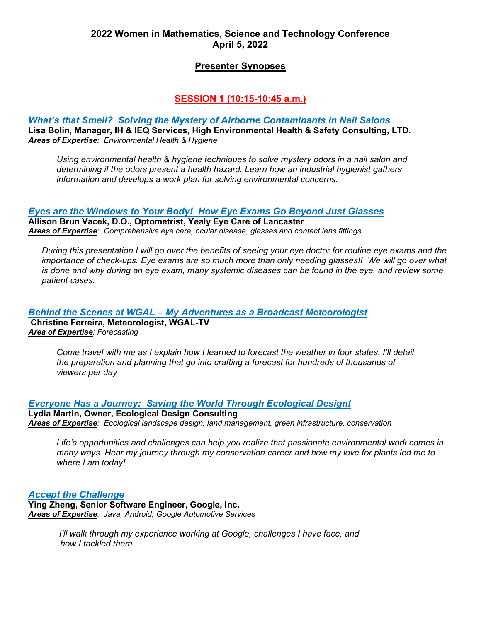## **2022 Women in Mathematics, Science and Technology Conference April 5, 2022**

## **Presenter Synopses**

# **SESSION 1 (10:15-10:45 a.m.)**

#### *What's that Smell? Solving the Mystery of Airborne Contaminants in Nail Salons* **Lisa Bolin, Manager, IH & IEQ Services, High Environmental Health & Safety Consulting, LTD.**  *Areas of Expertise: Environmental Health & Hygiene*

*Using environmental health & hygiene techniques to solve mystery odors in a nail salon and determining if the odors present a health hazard. Learn how an industrial hygienist gathers information and develops a work plan for solving environmental concerns.*

## *Eyes are the Windows to Your Body! How Eye Exams Go Beyond Just Glasses*

**Allison Brun Vacek, D.O., Optometrist, Yealy Eye Care of Lancaster** *Areas of Expertise: Comprehensive eye care, ocular disease, glasses and contact lens fittings*

*During this presentation I will go over the benefits of seeing your eye doctor for routine eye exams and the importance of check-ups. Eye exams are so much more than only needing glasses!! We will go over what is done and why during an eye exam, many systemic diseases can be found in the eye, and review some patient cases.*

### *Behind the Scenes at WGAL – My Adventures as a Broadcast Meteorologist* **Christine Ferreira, Meteorologist, WGAL-TV** *Area of Expertise: Forecasting*

*Come travel with me as I explain how I learned to forecast the weather in four states. I'll detail the preparation and planning that go into crafting a forecast for hundreds of thousands of viewers per day*

*Everyone Has a Journey: Saving the World Through Ecological Design!*

**Lydia Martin, Owner, Ecological Design Consulting** *Areas of Expertise: Ecological landscape design, land management, green infrastructure, conservation*

*Life's opportunities and challenges can help you realize that passionate environmental work comes in many ways. Hear my journey through my conservation career and how my love for plants led me to where I am today!*

### *Accept the Challenge*

**Ying Zheng, Senior Software Engineer, Google, Inc.** *Areas of Expertise: Java, Android, Google Automotive Services*

> *I'll walk through my experience working at Google, challenges I have face, and how I tackled them.*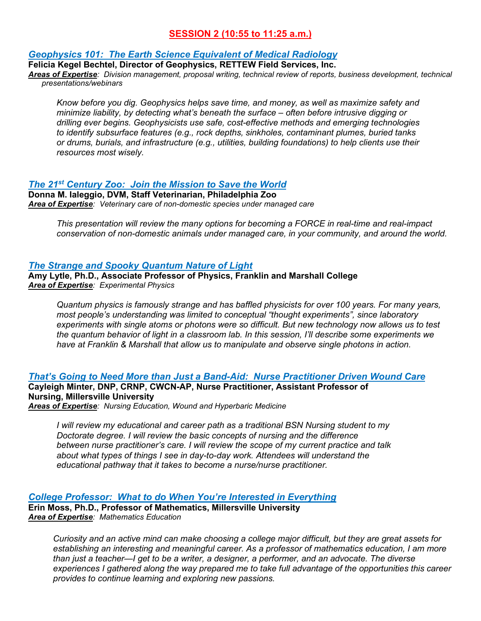# **SESSION 2 (10:55 to 11:25 a.m.)**

### *Geophysics 101: The Earth Science Equivalent of Medical Radiology*

**Felicia Kegel Bechtel, Director of Geophysics, RETTEW Field Services, Inc.**

*Areas of Expertise: Division management, proposal writing, technical review of reports, business development, technical presentations/webinars*

*Know before you dig. Geophysics helps save time, and money, as well as maximize safety and minimize liability, by detecting what's beneath the surface – often before intrusive digging or drilling ever begins. Geophysicists use safe, cost-effective methods and emerging technologies to identify subsurface features (e.g., rock depths, sinkholes, contaminant plumes, buried tanks or drums, burials, and infrastructure (e.g., utilities, building foundations) to help clients use their resources most wisely.*

## *The 21st Century Zoo: Join the Mission to Save the World*

**Donna M. Ialeggio, DVM, Staff Veterinarian, Philadelphia Zoo** *Area of Expertise: Veterinary care of non-domestic species under managed care*

*This presentation will review the many options for becoming a FORCE in real-time and real-impact conservation of non-domestic animals under managed care, in your community, and around the world.*

### *The Strange and Spooky Quantum Nature of Light*

**Amy Lytle, Ph.D., Associate Professor of Physics, Franklin and Marshall College** *Area of Expertise: Experimental Physics*

*Quantum physics is famously strange and has baffled physicists for over 100 years. For many years, most people's understanding was limited to conceptual "thought experiments", since laboratory experiments with single atoms or photons were so difficult. But new technology now allows us to test the quantum behavior of light in a classroom lab. In this session, I'll describe some experiments we have at Franklin & Marshall that allow us to manipulate and observe single photons in action.*

*That's Going to Need More than Just a Band-Aid: Nurse Practitioner Driven Wound Care* **Cayleigh Minter, DNP, CRNP, CWCN-AP, Nurse Practitioner, Assistant Professor of Nursing, Millersville University** *Areas of Expertise: Nursing Education, Wound and Hyperbaric Medicine* 

*I will review my educational and career path as a traditional BSN Nursing student to my Doctorate degree. I will review the basic concepts of nursing and the difference between nurse practitioner's care. I will review the scope of my current practice and talk about what types of things I see in day-to-day work. Attendees will understand the educational pathway that it takes to become a nurse/nurse practitioner.* 

*College Professor: What to do When You're Interested in Everything*

**Erin Moss, Ph.D., Professor of Mathematics, Millersville University** *Area of Expertise: Mathematics Education* 

*Curiosity and an active mind can make choosing a college major difficult, but they are great assets for establishing an interesting and meaningful career. As a professor of mathematics education, I am more than just a teacher—I get to be a writer, a designer, a performer, and an advocate. The diverse experiences I gathered along the way prepared me to take full advantage of the opportunities this career provides to continue learning and exploring new passions.*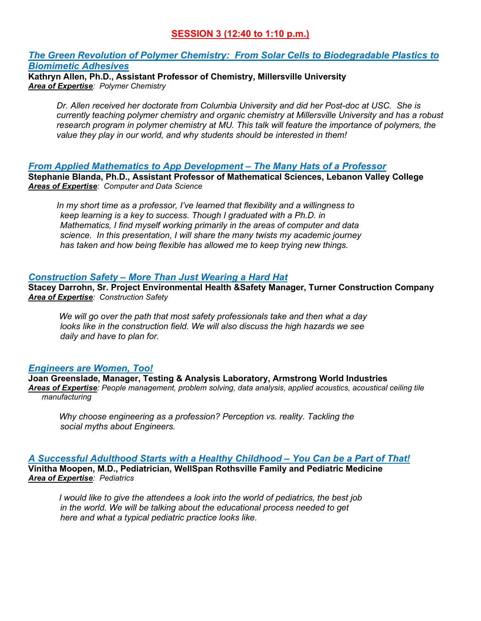# **SESSION 3 (12:40 to 1:10 p.m.)**

### *The Green Revolution of Polymer Chemistry: From Solar Cells to Biodegradable Plastics to Biomimetic Adhesives*

**Kathryn Allen, Ph.D., Assistant Professor of Chemistry, Millersville University** *Area of Expertise: Polymer Chemistry*

*Dr. Allen received her doctorate from Columbia University and did her Post-doc at USC. She is currently teaching polymer chemistry and organic chemistry at Millersville University and has a robust research program in polymer chemistry at MU. This talk will feature the importance of polymers, the value they play in our world, and why students should be interested in them!*

*From Applied Mathematics to App Development – The Many Hats of a Professor*

**Stephanie Blanda, Ph.D., Assistant Professor of Mathematical Sciences, Lebanon Valley College** *Areas of Expertise: Computer and Data Science*

*In my short time as a professor, I've learned that flexibility and a willingness to keep learning is a key to success. Though I graduated with a Ph.D. in Mathematics, I find myself working primarily in the areas of computer and data science. In this presentation, I will share the many twists my academic journey has taken and how being flexible has allowed me to keep trying new things.*

## *Construction Safety – More Than Just Wearing a Hard Hat*

**Stacey Darrohn, Sr. Project Environmental Health &Safety Manager, Turner Construction Company** *Area of Expertise: Construction Safety*

*We will go over the path that most safety professionals take and then what a day looks like in the construction field. We will also discuss the high hazards we see daily and have to plan for.*

## *Engineers are Women, Too!*

**Joan Greenslade, Manager, Testing & Analysis Laboratory, Armstrong World Industries** *Areas of Expertise: People management, problem solving, data analysis, applied acoustics, acoustical ceiling tile manufacturing* 

*Why choose engineering as a profession? Perception vs. reality. Tackling the social myths about Engineers.*

## *A Successful Adulthood Starts with a Healthy Childhood – You Can be a Part of That!*

**Vinitha Moopen, M.D., Pediatrician, WellSpan Rothsville Family and Pediatric Medicine** *Area of Expertise: Pediatrics*

*I would like to give the attendees a look into the world of pediatrics, the best job in the world. We will be talking about the educational process needed to get here and what a typical pediatric practice looks like.*